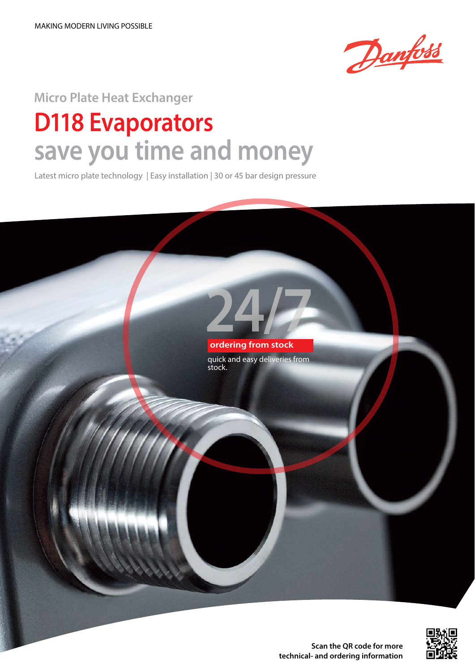

## **Micro Plate Heat Exchanger D118 Evaporators save you time and money**

Latest micro plate technology | Easy installation | 30 or 45 bar design pressure





**Scan the QR code for more technical- and ordering information**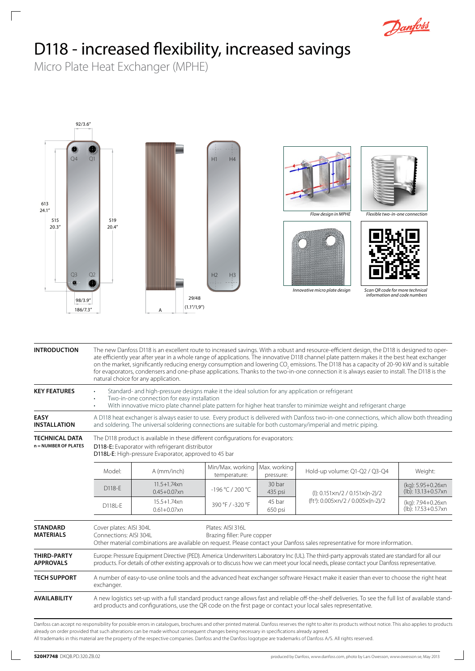

## D118 - increased flexibility, increased savings

Micro Plate Heat Exchanger (MPHE)

 $\sqrt{2}$ 



| <b>INTRODUCTION</b>                             | The new Danfoss D118 is an excellent route to increased savings. With a robust and resource-efficient design, the D118 is designed to oper-<br>ate efficiently year after year in a whole range of applications. The innovative D118 channel plate pattern makes it the best heat exchanger<br>on the market, significantly reducing energy consumption and lowering CO, emissions. The D118 has a capacity of 20-90 kW and is suitable<br>for evaporators, condensers and one-phase applications. Thanks to the two-in-one connection it is always easier to install. The D118 is the<br>natural choice for any application. |                                            |                                  |                           |                                                |                                         |
|-------------------------------------------------|-------------------------------------------------------------------------------------------------------------------------------------------------------------------------------------------------------------------------------------------------------------------------------------------------------------------------------------------------------------------------------------------------------------------------------------------------------------------------------------------------------------------------------------------------------------------------------------------------------------------------------|--------------------------------------------|----------------------------------|---------------------------|------------------------------------------------|-----------------------------------------|
| <b>KEY FEATURES</b>                             | Standard- and high-pressure designs make it the ideal solution for any application or refrigerant<br>Two-in-one connection for easy installation<br>With innovative micro plate channel plate pattern for higher heat transfer to minimize weight and refrigerant charge<br>٠                                                                                                                                                                                                                                                                                                                                                 |                                            |                                  |                           |                                                |                                         |
| <b>EASY</b><br><b>INSTALLATION</b>              | A D118 heat exchanger is always easier to use. Every product is delivered with Danfoss two-in-one connections, which allow both threading<br>and soldering. The universal soldering connections are suitable for both customary/imperial and metric piping.                                                                                                                                                                                                                                                                                                                                                                   |                                            |                                  |                           |                                                |                                         |
| <b>TECHNICAL DATA</b><br>$n = NUMBER OF PLATES$ | The D118 product is available in these different configurations for evaporators:<br>D118-E: Evaporator with refrigerant distributor<br>D118L-E: High-pressure Evaporator, approved to 45 bar                                                                                                                                                                                                                                                                                                                                                                                                                                  |                                            |                                  |                           |                                                |                                         |
|                                                 | Model:                                                                                                                                                                                                                                                                                                                                                                                                                                                                                                                                                                                                                        | A (mm/inch)                                | Min/Max. working<br>temperature: | Max. working<br>pressure: | Hold-up volume: Q1-Q2 / Q3-Q4                  | Weight:                                 |
|                                                 | D118-E                                                                                                                                                                                                                                                                                                                                                                                                                                                                                                                                                                                                                        | $11.5 + 1.74 \times n$<br>$0.45 + 0.07$ xn | -196 °C / 200 °C                 | 30 bar<br>435 psi         | $(l): 0.151 \times n/2 / 0.151 \times (n-2)/2$ | (kg): 5.95+0.26xn<br>(lb): 13.13+0.57xn |
|                                                 | <b>D118L-E</b>                                                                                                                                                                                                                                                                                                                                                                                                                                                                                                                                                                                                                | $15.5 + 1.74$ xn<br>$0.61 + 0.07$ xn       | 390 °F / -320 °F                 | 45 bar<br>650 psi         | (ft <sup>3</sup> ): 0.005×n/2 / 0.005×(n-2)/2  | (kg): 7.94+0.26xn<br>(lb): 17.53+0.57xn |
| <b>STANDARD</b><br><b>MATERIALS</b>             | Cover plates: AISI 304L<br>Plates: AISI 316L<br>Connections: AISI 304L<br>Brazing filler: Pure copper<br>Other material combinations are available on request. Please contact your Danfoss sales representative for more information.                                                                                                                                                                                                                                                                                                                                                                                         |                                            |                                  |                           |                                                |                                         |
| <b>THIRD-PARTY</b><br><b>APPROVALS</b>          | Europe: Pressure Equipment Directive (PED). America: Underwriters Laboratory Inc (UL). The third-party approvals stated are standard for all our<br>products. For details of other existing approvals or to discuss how we can meet your local needs, please contact your Danfoss representative.                                                                                                                                                                                                                                                                                                                             |                                            |                                  |                           |                                                |                                         |
| <b>TECH SUPPORT</b>                             | A number of easy-to-use online tools and the advanced heat exchanger software Hexact make it easier than ever to choose the right heat<br>exchanger.                                                                                                                                                                                                                                                                                                                                                                                                                                                                          |                                            |                                  |                           |                                                |                                         |
| <b>AVAILABILITY</b>                             | A new logistics set-up with a full standard product range allows fast and reliable off-the-shelf deliveries. To see the full list of available stand-<br>ard products and configurations, use the QR code on the first page or contact your local sales representative.                                                                                                                                                                                                                                                                                                                                                       |                                            |                                  |                           |                                                |                                         |

Danfoss can accept no responsibility for possible errors in catalogues, brochures and other printed material. Danfoss reserves the right to alter its products without notice. This also applies to products already on order provided that such alterations can be made without consequent changes being necessary in specifications already agreed. All trademarks in this material are the property of the respective companies. Danfoss and the Danfoss logotype are trademarks of Danfoss A/S. All rights reserved.